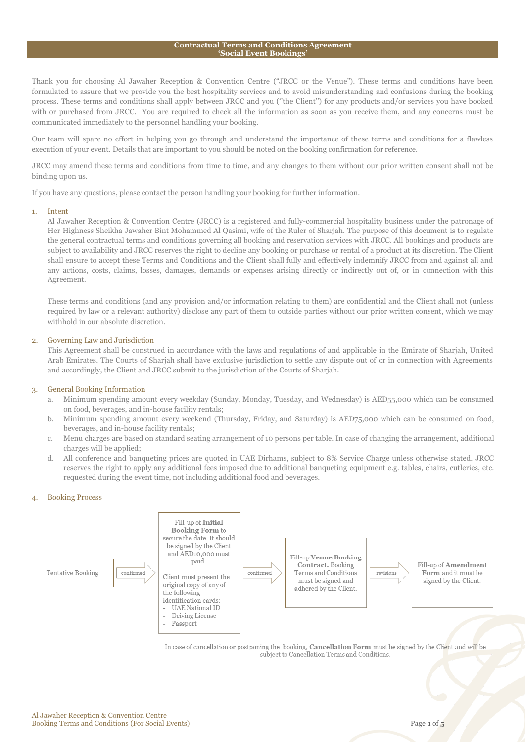#### **Contractual Terms and Conditions Agreement 'Social Event Bookings'**

Thank you for choosing Al Jawaher Reception & Convention Centre ("JRCC or the Venue"). These terms and conditions have been formulated to assure that we provide you the best hospitality services and to avoid misunderstanding and confusions during the booking process. These terms and conditions shall apply between JRCC and you (''the Client'') for any products and/or services you have booked with or purchased from JRCC. You are required to check all the information as soon as you receive them, and any concerns must be communicated immediately to the personnel handling your booking.

Our team will spare no effort in helping you go through and understand the importance of these terms and conditions for a flawless execution of your event. Details that are important to you should be noted on the booking confirmation for reference.

JRCC may amend these terms and conditions from time to time, and any changes to them without our prior written consent shall not be binding upon us.

If you have any questions, please contact the person handling your booking for further information.

#### 1. Intent

Al Jawaher Reception & Convention Centre (JRCC) is a registered and fully-commercial hospitality business under the patronage of Her Highness Sheikha Jawaher Bint Mohammed Al Qasimi, wife of the Ruler of Sharjah. The purpose of this document is to regulate the general contractual terms and conditions governing all booking and reservation services with JRCC. All bookings and products are subject to availability and JRCC reserves the right to decline any booking or purchase or rental of a product at its discretion. The Client shall ensure to accept these Terms and Conditions and the Client shall fully and effectively indemnify JRCC from and against all and any actions, costs, claims, losses, damages, demands or expenses arising directly or indirectly out of, or in connection with this Agreement.

These terms and conditions (and any provision and/or information relating to them) are confidential and the Client shall not (unless required by law or a relevant authority) disclose any part of them to outside parties without our prior written consent, which we may withhold in our absolute discretion.

#### 2. Governing Law and Jurisdiction

This Agreement shall be construed in accordance with the laws and regulations of and applicable in the Emirate of Sharjah, United Arab Emirates. The Courts of Sharjah shall have exclusive jurisdiction to settle any dispute out of or in connection with Agreements and accordingly, the Client and JRCC submit to the jurisdiction of the Courts of Sharjah.

# 3. General Booking Information

- a. Minimum spending amount every weekday (Sunday, Monday, Tuesday, and Wednesday) is AED55,000 which can be consumed on food, beverages, and in-house facility rentals;
- b. Minimum spending amount every weekend (Thursday, Friday, and Saturday) is AED75,000 which can be consumed on food, beverages, and in-house facility rentals;
- c. Menu charges are based on standard seating arrangement of 10 persons per table. In case of changing the arrangement, additional charges will be applied;
- d. All conference and banqueting prices are quoted in UAE Dirhams, subject to 8% Service Charge unless otherwise stated. JRCC reserves the right to apply any additional fees imposed due to additional banqueting equipment e.g. tables, chairs, cutleries, etc. requested during the event time, not including additional food and beverages.

# 4. Booking Process

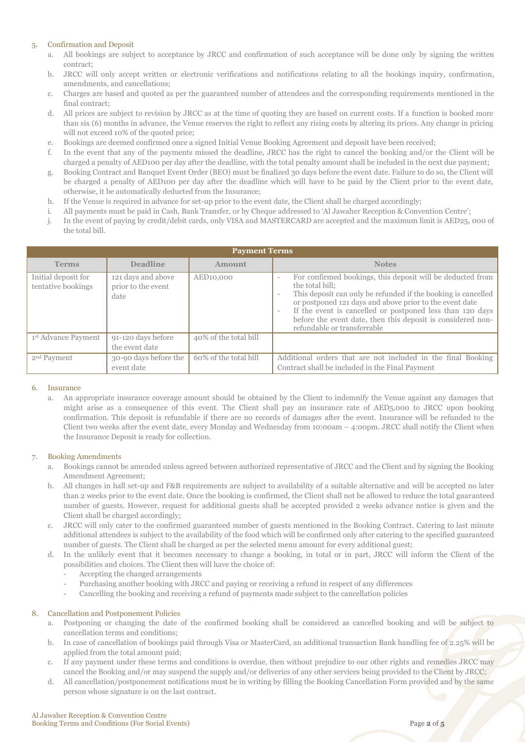# 5. Confirmation and Deposit

- a. All bookings are subject to acceptance by JRCC and confirmation of such acceptance will be done only by signing the written contract;
- b. JRCC will only accept written or electronic verifications and notifications relating to all the bookings inquiry, confirmation, amendments, and cancellations;
- c. Charges are based and quoted as per the guaranteed number of attendees and the corresponding requirements mentioned in the final contract;
- d. All prices are subject to revision by JRCC as at the time of quoting they are based on current costs. If a function is booked more than six (6) months in advance, the Venue reserves the right to reflect any rising costs by altering its prices. Any change in pricing will not exceed 10% of the quoted price;
- e. Bookings are deemed confirmed once a signed Initial Venue Booking Agreement and deposit have been received;
- f. In the event that any of the payments missed the deadline, JRCC has the right to cancel the booking and/or the Client will be charged a penalty of AED100 per day after the deadline, with the total penalty amount shall be included in the next due payment;
- g. Booking Contract and Banquet Event Order (BEO) must be finalized 30 days before the event date. Failure to do so, the Client will be charged a penalty of AED100 per day after the deadline which will have to be paid by the Client prior to the event date, otherwise, it be automatically deducted from the Insurance;
- h. If the Venue is required in advance for set-up prior to the event date, the Client shall be charged accordingly;
- i. All payments must be paid in Cash, Bank Transfer, or by Cheque addressed to 'Al Jawaher Reception & Convention Centre';
- j. In the event of paying by credit/debit cards, only VISA and MASTERCARD are accepted and the maximum limit is AED25, 000 of the total bill.

| <b>Payment Terms</b>                      |                                                  |                        |                                                                                                                                                                                                                                                                                                                                                                                                                                   |  |  |  |
|-------------------------------------------|--------------------------------------------------|------------------------|-----------------------------------------------------------------------------------------------------------------------------------------------------------------------------------------------------------------------------------------------------------------------------------------------------------------------------------------------------------------------------------------------------------------------------------|--|--|--|
| <b>Terms</b>                              | <b>Deadline</b>                                  | Amount                 | <b>Notes</b>                                                                                                                                                                                                                                                                                                                                                                                                                      |  |  |  |
| Initial deposit for<br>tentative bookings | 121 days and above<br>prior to the event<br>date | AED <sub>10</sub> ,000 | For confirmed bookings, this deposit will be deducted from<br>$\overline{\phantom{a}}$<br>the total bill:<br>This deposit can only be refunded if the booking is cancelled<br>-<br>or postponed 121 days and above prior to the event date<br>If the event is cancelled or postponed less than 120 days<br>$\overline{\phantom{a}}$<br>before the event date, then this deposit is considered non-<br>refundable or transferrable |  |  |  |
| 1st Advance Payment                       | 91-120 days before<br>the event date             | 40% of the total bill  |                                                                                                                                                                                                                                                                                                                                                                                                                                   |  |  |  |
| 2 <sup>nd</sup> Payment                   | 30-90 days before the<br>event date              | 60% of the total bill  | Additional orders that are not included in the final Booking<br>Contract shall be included in the Final Payment                                                                                                                                                                                                                                                                                                                   |  |  |  |

## 6. Insurance

a. An appropriate insurance coverage amount should be obtained by the Client to indemnify the Venue against any damages that might arise as a consequence of this event. The Client shall pay an insurance rate of AED5,000 to JRCC upon booking confirmation. This deposit is refundable if there are no records of damages after the event. Insurance will be refunded to the Client two weeks after the event date, every Monday and Wednesday from 10:00am – 4:00pm. JRCC shall notify the Client when the Insurance Deposit is ready for collection.

## 7. Booking Amendments

- a. Bookings cannot be amended unless agreed between authorized representative of JRCC and the Client and by signing the Booking Amendment Agreement;
- b. All changes in hall set-up and F&B requirements are subject to availability of a suitable alternative and will be accepted no later than 2 weeks prior to the event date. Once the booking is confirmed, the Client shall not be allowed to reduce the total guaranteed number of guests. However, request for additional guests shall be accepted provided 2 weeks advance notice is given and the Client shall be charged accordingly;
- c. JRCC will only cater to the confirmed guaranteed number of guests mentioned in the Booking Contract. Catering to last minute additional attendees is subject to the availability of the food which will be confirmed only after catering to the specified guaranteed number of guests. The Client shall be charged as per the selected menu amount for every additional guest;
- d. In the unlikely event that it becomes necessary to change a booking, in total or in part, JRCC will inform the Client of the possibilities and choices. The Client then will have the choice of:
	- Accepting the changed arrangements
	- Purchasing another booking with JRCC and paying or receiving a refund in respect of any differences
	- Cancelling the booking and receiving a refund of payments made subject to the cancellation policies

## 8. Cancellation and Postponement Policies

- a. Postponing or changing the date of the confirmed booking shall be considered as cancelled booking and will be subject to cancellation terms and conditions;
- b. In case of cancellation of bookings paid through Visa or MasterCard, an additional transaction Bank handling fee of 2.25% will be applied from the total amount paid;
- c. If any payment under these terms and conditions is overdue, then without prejudice to our other rights and remedies JRCC may cancel the Booking and/or may suspend the supply and/or deliveries of any other services being provided to the Client by JRCC;
- d. All cancellation/postponement notifications must be in writing by filling the Booking Cancellation Form provided and by the same person whose signature is on the last contract.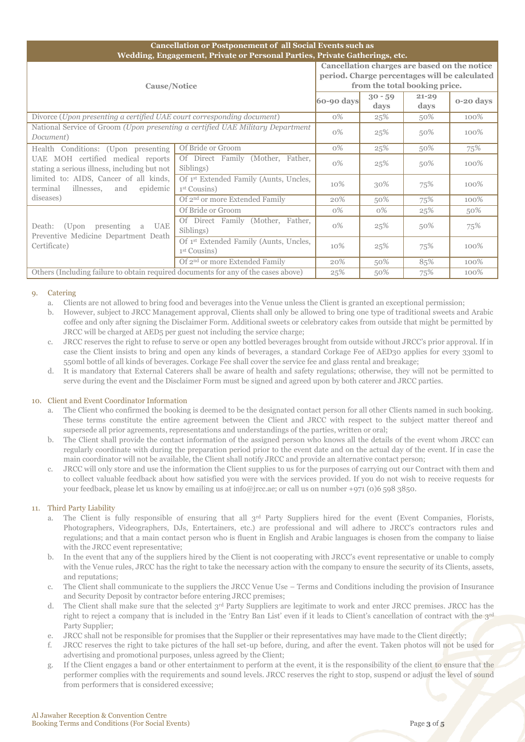| <b>Cancellation or Postponement of all Social Events such as</b><br>Wedding, Engagement, Private or Personal Parties, Private Gatherings, etc. |                                                                    |       |                                                                                                                                |                   |           |  |  |  |
|------------------------------------------------------------------------------------------------------------------------------------------------|--------------------------------------------------------------------|-------|--------------------------------------------------------------------------------------------------------------------------------|-------------------|-----------|--|--|--|
| Cause/Notice<br>$60-90$ days                                                                                                                   |                                                                    |       | Cancellation charges are based on the notice<br>period. Charge percentages will be calculated<br>from the total booking price. |                   |           |  |  |  |
|                                                                                                                                                |                                                                    |       | $30 - 59$<br>days                                                                                                              | $21 - 29$<br>days | 0-20 days |  |  |  |
| Divorce (Upon presenting a certified UAE court corresponding document)                                                                         |                                                                    |       | 25%                                                                                                                            | 50%               | 100%      |  |  |  |
| National Service of Groom (Upon presenting a certified UAE Military Department<br>Document)                                                    |                                                                    |       | 25%                                                                                                                            | 50%               | 100%      |  |  |  |
| Health Conditions: (Upon presenting                                                                                                            | Of Bride or Groom                                                  | $0\%$ | 25%                                                                                                                            | 50%               | 75%       |  |  |  |
| UAE MOH certified medical reports<br>stating a serious illness, including but not                                                              | Of Direct Family (Mother, Father,<br>Siblings)                     | $0\%$ | 25%                                                                                                                            | 50%               | 100%      |  |  |  |
| limited to: AIDS, Cancer of all kinds,<br>terminal<br>illnesses,<br>epidemic<br>and                                                            | Of 1 <sup>st</sup> Extended Family (Aunts, Uncles,<br>1st Cousins) | 10%   | 30%                                                                                                                            | 75%               | 100%      |  |  |  |
| diseases)                                                                                                                                      | Of 2 <sup>nd</sup> or more Extended Family                         | 20%   | 50%                                                                                                                            | 75%               | 100%      |  |  |  |
|                                                                                                                                                | Of Bride or Groom                                                  | $0\%$ | $0\%$                                                                                                                          | 25%               | 50%       |  |  |  |
| Death: (Upon presenting a<br>UAE<br>Preventive Medicine Department Death                                                                       | Of Direct Family (Mother, Father,<br>Siblings)                     | $0\%$ | 25%                                                                                                                            | 50%               | 75%       |  |  |  |
| Certificate)                                                                                                                                   | Of 1st Extended Family (Aunts, Uncles,<br>1 <sup>st</sup> Cousins) | 10%   | 25%                                                                                                                            | 75%               | 100%      |  |  |  |
|                                                                                                                                                | Of 2 <sup>nd</sup> or more Extended Family                         | 20%   | 50%                                                                                                                            | 85%               | 100%      |  |  |  |
| Others (Including failure to obtain required documents for any of the cases above)                                                             |                                                                    |       | 50%                                                                                                                            | 75%               | 100%      |  |  |  |

# 0. Catering

- a. Clients are not allowed to bring food and beverages into the Venue unless the Client is granted an exceptional permission;
- b. However, subject to JRCC Management approval, Clients shall only be allowed to bring one type of traditional sweets and Arabic coffee and only after signing the Disclaimer Form. Additional sweets or celebratory cakes from outside that might be permitted by JRCC will be charged at AED5 per guest not including the service charge;
- c. JRCC reserves the right to refuse to serve or open any bottled beverages brought from outside without JRCC's prior approval. If in case the Client insists to bring and open any kinds of beverages, a standard Corkage Fee of AED30 applies for every 330ml to 550ml bottle of all kinds of beverages. Corkage Fee shall cover the service fee and glass rental and breakage;
- d. It is mandatory that External Caterers shall be aware of health and safety regulations; otherwise, they will not be permitted to serve during the event and the Disclaimer Form must be signed and agreed upon by both caterer and JRCC parties.

## 10. Client and Event Coordinator Information

- The Client who confirmed the booking is deemed to be the designated contact person for all other Clients named in such booking. These terms constitute the entire agreement between the Client and JRCC with respect to the subject matter thereof and supersede all prior agreements, representations and understandings of the parties, written or oral;
- b. The Client shall provide the contact information of the assigned person who knows all the details of the event whom JRCC can regularly coordinate with during the preparation period prior to the event date and on the actual day of the event. If in case the main coordinator will not be available, the Client shall notify JRCC and provide an alternative contact person;
- c. JRCC will only store and use the information the Client supplies to us for the purposes of carrying out our Contract with them and to collect valuable feedback about how satisfied you were with the services provided. If you do not wish to receive requests for your feedback, please let us know by emailing us at info@jrcc.ae; or call us on number +971 (0)6 598 3850.

## 11. Third Party Liability

- a. The Client is fully responsible of ensuring that all 3<sup>rd</sup> Party Suppliers hired for the event (Event Companies, Florists, Photographers, Videographers, DJs, Entertainers, etc.) are professional and will adhere to JRCC's contractors rules and regulations; and that a main contact person who is fluent in English and Arabic languages is chosen from the company to liaise with the JRCC event representative;
- b. In the event that any of the suppliers hired by the Client is not cooperating with JRCC's event representative or unable to comply with the Venue rules, JRCC has the right to take the necessary action with the company to ensure the security of its Clients, assets, and reputations;
- c. The Client shall communicate to the suppliers the JRCC Venue Use Terms and Conditions including the provision of Insurance and Security Deposit by contractor before entering JRCC premises;
- d. The Client shall make sure that the selected 3rd Party Suppliers are legitimate to work and enter JRCC premises. JRCC has the right to reject a company that is included in the 'Entry Ban List' even if it leads to Client's cancellation of contract with the 3rd Party Supplier;
- e. JRCC shall not be responsible for promises that the Supplier or their representatives may have made to the Client directly;
- f. JRCC reserves the right to take pictures of the hall set-up before, during, and after the event. Taken photos will not be used for advertising and promotional purposes, unless agreed by the Client;
- g. If the Client engages a band or other entertainment to perform at the event, it is the responsibility of the client to ensure that the performer complies with the requirements and sound levels. JRCC reserves the right to stop, suspend or adjust the level of sound from performers that is considered excessive;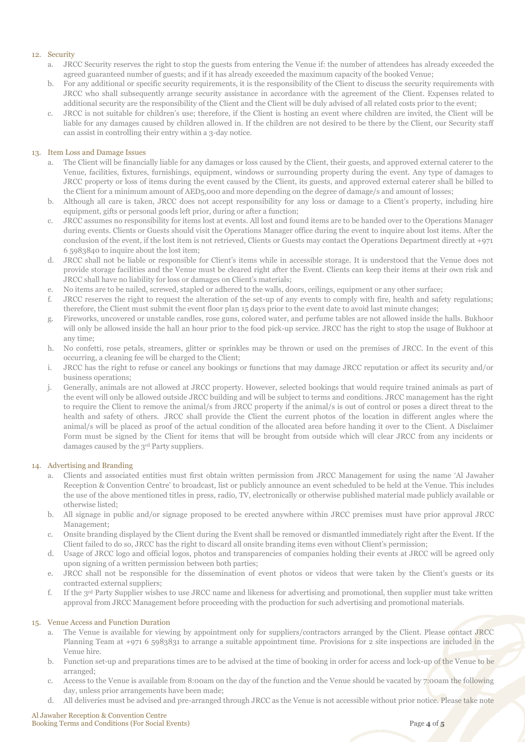# 12. Security

- a. JRCC Security reserves the right to stop the guests from entering the Venue if: the number of attendees has already exceeded the agreed guaranteed number of guests; and if it has already exceeded the maximum capacity of the booked Venue;
- b. For any additional or specific security requirements, it is the responsibility of the Client to discuss the security requirements with JRCC who shall subsequently arrange security assistance in accordance with the agreement of the Client. Expenses related to additional security are the responsibility of the Client and the Client will be duly advised of all related costs prior to the event;
- JRCC is not suitable for children's use; therefore, if the Client is hosting an event where children are invited, the Client will be liable for any damages caused by children allowed in. If the children are not desired to be there by the Client, our Security staff can assist in controlling their entry within a 3-day notice.

# 13. Item Loss and Damage Issues

- The Client will be financially liable for any damages or loss caused by the Client, their guests, and approved external caterer to the Venue, facilities, fixtures, furnishings, equipment, windows or surrounding property during the event. Any type of damages to JRCC property or loss of items during the event caused by the Client, its guests, and approved external caterer shall be billed to the Client for a minimum amount of AED5,000 and more depending on the degree of damage/s and amount of losses;
- b. Although all care is taken, JRCC does not accept responsibility for any loss or damage to a Client's property, including hire equipment, gifts or personal goods left prior, during or after a function;
- c. JRCC assumes no responsibility for items lost at events. All lost and found items are to be handed over to the Operations Manager during events. Clients or Guests should visit the Operations Manager office during the event to inquire about lost items. After the conclusion of the event, if the lost item is not retrieved, Clients or Guests may contact the Operations Department directly at +971 6 5983840 to inquire about the lost item;
- d. JRCC shall not be liable or responsible for Client's items while in accessible storage. It is understood that the Venue does not provide storage facilities and the Venue must be cleared right after the Event. Clients can keep their items at their own risk and JRCC shall have no liability for loss or damages on Client's materials;
- e. No items are to be nailed, screwed, stapled or adhered to the walls, doors, ceilings, equipment or any other surface;
- f. JRCC reserves the right to request the alteration of the set-up of any events to comply with fire, health and safety regulations; therefore, the Client must submit the event floor plan 15 days prior to the event date to avoid last minute changes;
- g. Fireworks, uncovered or unstable candles, rose guns, colored water, and perfume tables are not allowed inside the halls. Bukhoor will only be allowed inside the hall an hour prior to the food pick-up service. JRCC has the right to stop the usage of Bukhoor at any time;
- h. No confetti, rose petals, streamers, glitter or sprinkles may be thrown or used on the premises of JRCC. In the event of this occurring, a cleaning fee will be charged to the Client;
- i. JRCC has the right to refuse or cancel any bookings or functions that may damage JRCC reputation or affect its security and/or business operations;
- j. Generally, animals are not allowed at JRCC property. However, selected bookings that would require trained animals as part of the event will only be allowed outside JRCC building and will be subject to terms and conditions. JRCC management has the right to require the Client to remove the animal/s from JRCC property if the animal/s is out of control or poses a direct threat to the health and safety of others. JRCC shall provide the Client the current photos of the location in different angles where the animal/s will be placed as proof of the actual condition of the allocated area before handing it over to the Client. A Disclaimer Form must be signed by the Client for items that will be brought from outside which will clear JRCC from any incidents or damages caused by the 3rd Party suppliers.

## 14. Advertising and Branding

- a. Clients and associated entities must first obtain written permission from JRCC Management for using the name 'Al Jawaher Reception & Convention Centre' to broadcast, list or publicly announce an event scheduled to be held at the Venue. This includes the use of the above mentioned titles in press, radio, TV, electronically or otherwise published material made publicly available or otherwise listed;
- b. All signage in public and/or signage proposed to be erected anywhere within JRCC premises must have prior approval JRCC Management;
- c. Onsite branding displayed by the Client during the Event shall be removed or dismantled immediately right after the Event. If the Client failed to do so, JRCC has the right to discard all onsite branding items even without Client's permission;
- d. Usage of JRCC logo and official logos, photos and transparencies of companies holding their events at JRCC will be agreed only upon signing of a written permission between both parties;
- e. JRCC shall not be responsible for the dissemination of event photos or videos that were taken by the Client's guests or its contracted external suppliers;
- f. If the 3rd Party Supplier wishes to use JRCC name and likeness for advertising and promotional, then supplier must take written approval from JRCC Management before proceeding with the production for such advertising and promotional materials.

## 15. Venue Access and Function Duration

- a. The Venue is available for viewing by appointment only for suppliers/contractors arranged by the Client. Please contact JRCC Planning Team at +971 6 5983831 to arrange a suitable appointment time. Provisions for 2 site inspections are included in the Venue hire.
- b. Function set-up and preparations times are to be advised at the time of booking in order for access and lock-up of the Venue to be arranged;
- c. Access to the Venue is available from 8:00am on the day of the function and the Venue should be vacated by 7:00am the following day, unless prior arrangements have been made;
- d. All deliveries must be advised and pre-arranged through JRCC as the Venue is not accessible without prior notice. Please take note